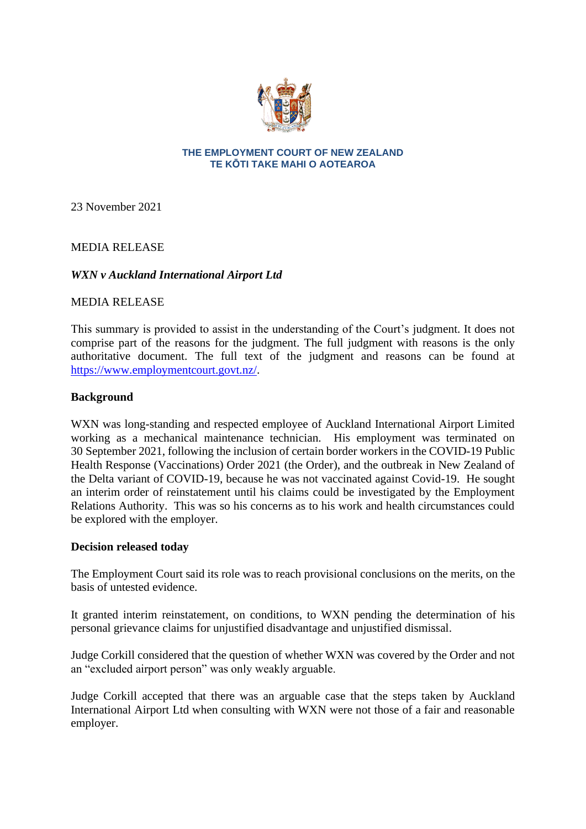

#### **THE EMPLOYMENT COURT OF NEW ZEALAND TE KŌTI TAKE MAHI O AOTEAROA**

23 November 2021

MEDIA RELEASE

# *WXN v Auckland International Airport Ltd*

## MEDIA RELEASE

This summary is provided to assist in the understanding of the Court's judgment. It does not comprise part of the reasons for the judgment. The full judgment with reasons is the only authoritative document. The full text of the judgment and reasons can be found at [https://www.employmentcourt.govt.nz/.](https://www.employmentcourt.govt.nz/)

## **Background**

WXN was long-standing and respected employee of Auckland International Airport Limited working as a mechanical maintenance technician. His employment was terminated on 30 September 2021, following the inclusion of certain border workers in the COVID-19 Public Health Response (Vaccinations) Order 2021 (the Order), and the outbreak in New Zealand of the Delta variant of COVID-19, because he was not vaccinated against Covid-19. He sought an interim order of reinstatement until his claims could be investigated by the Employment Relations Authority. This was so his concerns as to his work and health circumstances could be explored with the employer.

#### **Decision released today**

The Employment Court said its role was to reach provisional conclusions on the merits, on the basis of untested evidence.

It granted interim reinstatement, on conditions, to WXN pending the determination of his personal grievance claims for unjustified disadvantage and unjustified dismissal.

Judge Corkill considered that the question of whether WXN was covered by the Order and not an "excluded airport person" was only weakly arguable.

Judge Corkill accepted that there was an arguable case that the steps taken by Auckland International Airport Ltd when consulting with WXN were not those of a fair and reasonable employer.